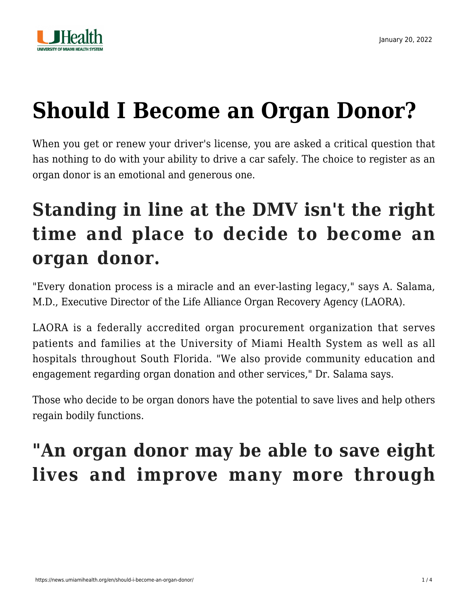

# **[Should I Become an Organ Donor?](https://news.umiamihealth.org/en/should-i-become-an-organ-donor/)**

When you get or renew your driver's license, you are asked a critical question that has nothing to do with your ability to drive a car safely. The choice to register as an organ donor is an emotional and generous one.

# **Standing in line at the DMV isn't the right time and place to decide to become an organ donor.**

"Every donation process is a miracle and an ever-lasting legacy," says A. Salama, M.D., Executive Director of the [Life Alliance Organ Recovery Agency](https://www.organdonationalliance.org/partner/life-alliance-organ-recovery-agency/) (LAORA).

LAORA is a federally accredited organ procurement organization that serves patients and families at the University of Miami Health System as well as all hospitals throughout South Florida. "We also provide community education and engagement regarding organ donation and other services," Dr. Salama says.

Those who decide to be organ donors have the potential to save lives and help others regain bodily functions.

# **"An organ donor may be able to save eight lives and improve many more through**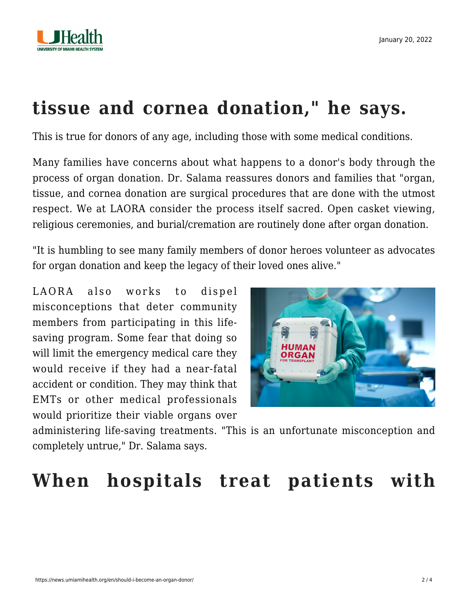

### **tissue and cornea donation," he says.**

This is true for donors of any age, including those with some medical conditions.

Many families have concerns about what happens to a donor's body through the process of organ donation. Dr. Salama reassures donors and families that "organ, tissue, and cornea donation are surgical procedures that are done with the utmost respect. We at LAORA consider the process itself sacred. Open casket viewing, religious ceremonies, and burial/cremation are routinely done after organ donation.

"It is humbling to see many family members of donor heroes volunteer as advocates for organ donation and keep the legacy of their loved ones alive."

LAORA also works to dispel misconceptions that deter community members from participating in this lifesaving program. Some fear that doing so will limit the emergency medical care they would receive if they had a near-fatal accident or condition. They may think that EMTs or other medical professionals would prioritize their viable organs over



administering life-saving treatments. "This is an unfortunate misconception and completely untrue," Dr. Salama says.

### **When hospitals treat patients with**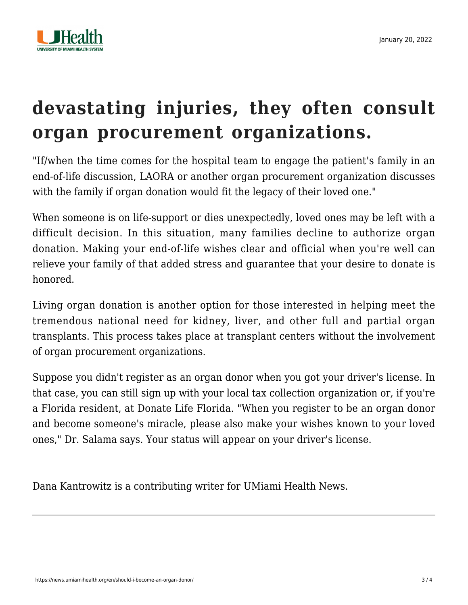

# **devastating injuries, they often consult organ procurement organizations.**

"If/when the time comes for the hospital team to engage the patient's family in an end-of-life discussion, LAORA or another organ procurement organization discusses with the family if organ donation would fit the legacy of their loved one."

When someone is on life-support or dies unexpectedly, loved ones may be left with a difficult decision. In this situation, many families decline to authorize organ donation. Making your end-of-life wishes clear and official when you're well can relieve your family of that added stress and guarantee that your desire to donate is honored.

Living organ donation is another option for those interested in helping meet the tremendous national need for kidney, liver, and other full and partial organ transplants. This process takes place at transplant centers without the involvement of organ procurement organizations.

Suppose you didn't register as an organ donor when you got your driver's license. In that case, you can still sign up with your local tax collection organization or, if you're a Florida resident, at [Donate Life Florida](http://donatelifeflorida.org/). "When you register to be an organ donor and become someone's miracle, please also make your wishes known to your loved ones," Dr. Salama says. Your status will appear on your driver's license.

Dana Kantrowitz is a contributing writer for UMiami Health News.